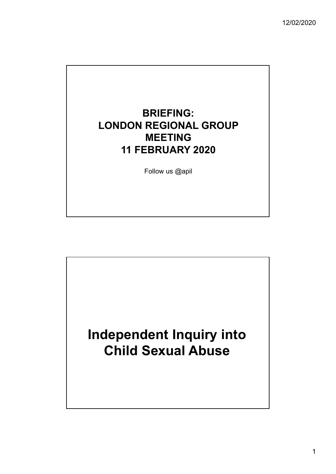

Follow us @apil

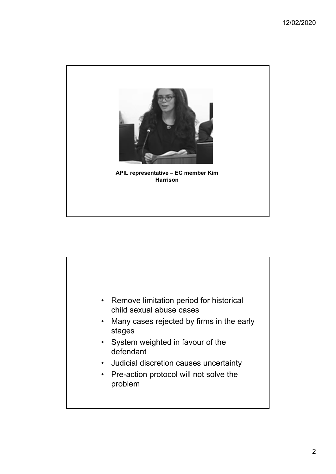

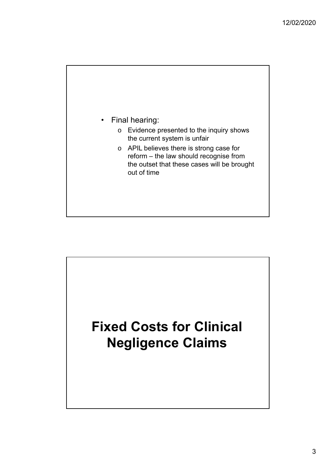

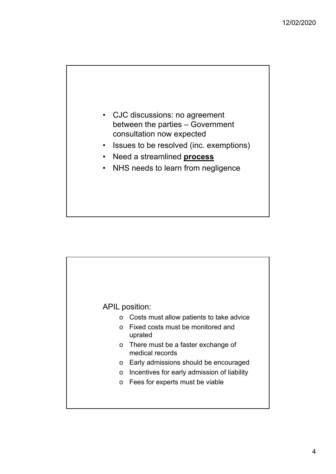

- Issues to be resolved (inc. exemptions)
- Need a streamlined **process**
- NHS needs to learn from negligence

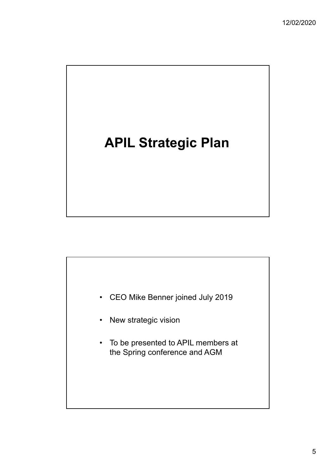## **APIL Strategic Plan**



- New strategic vision
- To be presented to APIL members at the Spring conference and AGM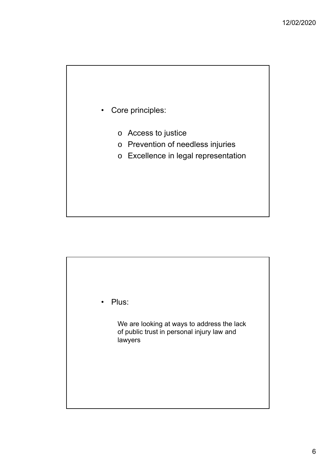

- o Access to justice
- o Prevention of needless injuries
- o Excellence in legal representation